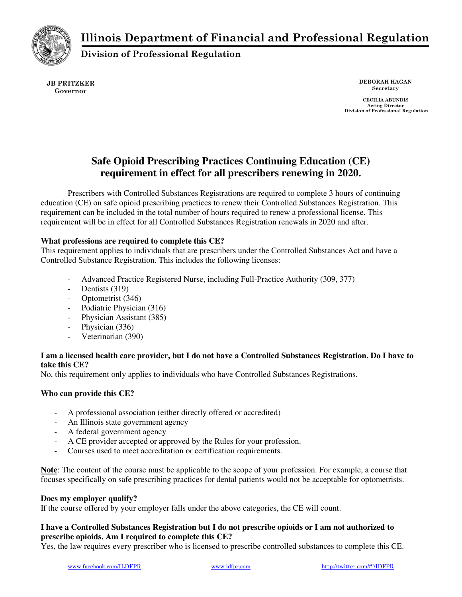Illinois Department of Financial and Professional Regulation



Division of Professional Regulation

JB PRITZKER Governor

DEBORAH HAGAN Secretary

CECILIA ABUNDIS Acting Director Division of Professional Regulation

# **Safe Opioid Prescribing Practices Continuing Education (CE) requirement in effect for all prescribers renewing in 2020.**

Prescribers with Controlled Substances Registrations are required to complete 3 hours of continuing education (CE) on safe opioid prescribing practices to renew their Controlled Substances Registration. This requirement can be included in the total number of hours required to renew a professional license. This requirement will be in effect for all Controlled Substances Registration renewals in 2020 and after.

## **What professions are required to complete this CE?**

This requirement applies to individuals that are prescribers under the Controlled Substances Act and have a Controlled Substance Registration. This includes the following licenses:

- Advanced Practice Registered Nurse, including Full-Practice Authority (309, 377)
- Dentists (319)
- Optometrist (346)
- Podiatric Physician (316)
- Physician Assistant (385)
- Physician (336)
- Veterinarian (390)

## **I am a licensed health care provider, but I do not have a Controlled Substances Registration. Do I have to take this CE?**

No, this requirement only applies to individuals who have Controlled Substances Registrations.

#### **Who can provide this CE?**

- A professional association (either directly offered or accredited)
- An Illinois state government agency
- A federal government agency
- A CE provider accepted or approved by the Rules for your profession.
- Courses used to meet accreditation or certification requirements.

**Note**: The content of the course must be applicable to the scope of your profession. For example, a course that focuses specifically on safe prescribing practices for dental patients would not be acceptable for optometrists.

#### **Does my employer qualify?**

If the course offered by your employer falls under the above categories, the CE will count.

#### **I have a Controlled Substances Registration but I do not prescribe opioids or I am not authorized to prescribe opioids. Am I required to complete this CE?**

Yes, the law requires every prescriber who is licensed to prescribe controlled substances to complete this CE.